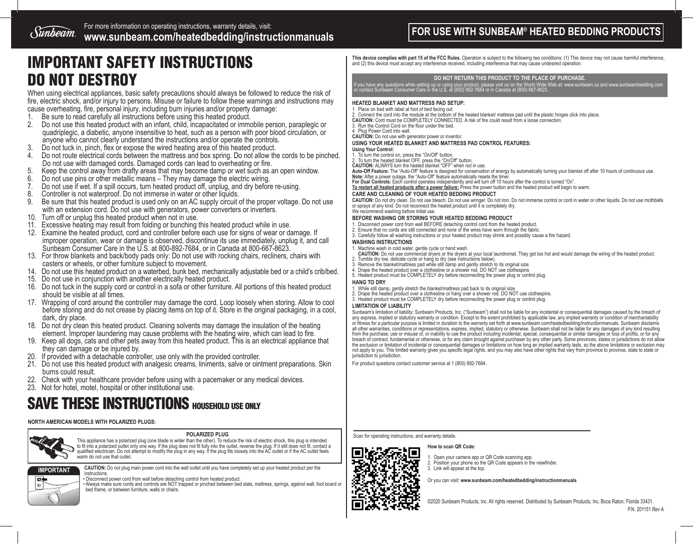For more information on operating instructions, warranty details, visit: *Sunbeam* For more information on operating instructions, warranty details, visit:<br> **WWW.Sunbeam.com/heatedbedding/instructionmanuals** 

# IMPORTANT SAFETY INSTRUCTIONS DO NOT DESTROY

When using electrical appliances, basic safety precautions should always be followed to reduce the risk of fire, electric shock, and/or injury to persons. Misuse or failure to follow these warnings and instructions may cause overheating, fire, personal injury, including burn injuries and/or property damage:

- 1. Be sure to read carefully all instructions before using this heated product.
- 2. Do not use this heated product with an infant, child, incapacitated or immobile person, paraplegic or quadriplegic, a diabetic, anyone insensitive to heat, such as a person with poor blood circulation, or anyone who cannot clearly understand the instructions and/or operate the controls.
- 3. Do not tuck in, pinch, flex or expose the wired heating area of this heated product.<br>4. Do not route electrical cords between the mattress and box spring. Do not allow the
- Do not route electrical cords between the mattress and box spring. Do not allow the cords to be pinched. Do not use with damaged cords. Damaged cords can lead to overheating or fire.
- 5. Keep the control away from drafty areas that may become damp or wet such as an open window.<br>6. Do not use pins or other metallic means They may damage the electric wiring.<br>7. Do not use if wet. If a spill occurs, turn
- 
- 7. Do not use if wet. If a spill occurs, turn heated product off, unplug, and dry before re-using.
- 
- 8. Controller is not waterproof. Do not immerse in water or other liquids.<br>8. Be sure that this heated product is used only on an AC supply circuit 9. Be sure that this heated product is used only on an AC supply circuit of the proper voltage. Do not use with an extension cord. Do not use with generators, power converters or inverters.
- 10. Turn off or unplug this heated product when not in use.
- 11. Excessive heating may result from folding or bunching this heated product while in use.
- 12. Examine the heated product, cord and controller before each use for signs of wear or damage. If improper operation, wear or damage is observed, discontinue its use immediately, unplug it, and call Sunbeam Consumer Care in the U.S. at 800-892-7684, or in Canada at 800-667-8623.
- 13. For throw blankets and back/body pads only: Do not use with rocking chairs, recliners, chairs with casters or wheels, or other furniture subject to movement.
- 14. Do not use this heated product on a waterbed, bunk bed, mechanically adjustable bed or a child's crib/bed.
- 15. Do not use in conjunction with another electrically heated product.
- 16. Do not tuck in the supply cord or control in a sofa or other furniture. All portions of this heated product should be visible at all times.
- 17. Wrapping of cord around the controller may damage the cord. Loop loosely when storing. Allow to cool before storing and do not crease by placing items on top of it. Store in the original packaging, in a cool, dark, dry place.
- 18. Do not dry clean this heated product. Cleaning solvents may damage the insulation of the heating element. Improper laundering may cause problems with the heating wire, which can lead to fire.
- 19. Keep all dogs, cats and other pets away from this heated product. This is an electrical appliance that they can damage or be injured by.
- 20. If provided with a detachable controller, use only with the provided controller.
- 21. Do not use this heated product with analgesic creams, liniments, salve or ointment preparations. Skin burns could result.
- 22. Check with your healthcare provider before using with a pacemaker or any medical devices.
- 23. Not for hotel, motel, hospital or other institutional use.

## SAVE THESE INSTRUCTIONS HOUSEHOLD USE ONLY

#### **NORTH AMERICAN MODELS WITH POLARIZED PLUGS:**



#### **POLARIZED PLUG**

This appliance has a polarized plug (one blade is wider than the other). To reduce the risk of electric shock, this plug is intended to fit into a polarized outlet only one way. If the plug does not fit fully into the outlet, reverse the plug. If it still does not fit, contact a<br>qualified electrician. Do not attempt to modify the plug in any way. If the warm do not use that outlet



**CAUTION:** Do not plug main power cord into the wall outlet until you have completely set up your heated product per the instructions

instructions. • Disconnect power cord from wall before detaching control from heated product.<br>• Always make sure cords and controls are NOT trapped or pinched between bed slats, mattress, springs, against wall, foot board bed frame, or between furniture, walls or chairs.

**This device complies with part 15 of the FCC Rules.** Operation is subject to the following two conditions: (1) This device may not cause harmful interference, and (2) this device must accept any interference received, including interference that may cause undesired operation.

#### **DO NOT RETURN THIS PRODUCT TO THE PLACE OF PURCHASE.**

If you have any questions while setting up or using your product, please visit us on the World Wide Web at: www.sunbeam.ca and www.sunbeambedding.com<br>or contact Sunbeam Consumer Care in the U.S. at (800) 892-7684 or in Can

#### **HEATED BLANKET AND MATTRESS PAD SETUP:**

1. Place on bed with label at foot of bed facing out 2. Connect the cord into the module at the bottom of the heated blanket/ mattress pad until the plastic hinges click into place.

**CAUTION:** Cord must be COMPLETELY CONNECTED. A risk of fire could result from a loose connection.

3. Run the Control Cord on the floor under the bed.

4. Plug Power Cord into wall.

**CAUTION:** Do not use with generator power or inventor.

#### **USING YOUR HEATED BLANKET AND MATTRESS PAD CONTROL FEATURES:**

#### **Using Your Control:**

1. To turn the control on, press the "On/Off" button. 2. To turn the heated blanket OFF, press the "On/Off" button.

**CAUTION:** ALWAYS turn the heated blanket "OFF" when not in use.

Auto-Off Feature: The "Auto-Off" feature is designed for conservation of energy by automatically turning your blanket off after 10 hours of continuous use.<br>Note: After a power outage, the "Auto-Off" feature automatically r

**For Dual Controls:** Each control operates independently and will turn off 10 hours after the control is turned "On".

**To restart all heated products after a power failure:** Press the power button and the heated product will begin to warm.

#### **CARE AND CLEANING OF YOUR HEATED BEDDING PRODUCT**

**CAUTION:** Do not dry clean. Do not use bleach. Do not use wringer. Do not iron. Do not immerse control or cord in water or other liquids. Do not use mothballs or sprays of any kind. Do not reconnect the heated product until it is completely dry. We recommend washing before initial use.

### **BEFORE WASHING OR STORING YOUR HEATED BEDDING PRODUCT**

- 1. Disconnect power cord from wall BEFORE detaching control cord from the heated product.
- 2. Ensure that no cords are still connected and none of the wires have worn through the fabric. 3. Carefully follow all washing instructions or your heated product may shrink and possibly cause a fire hazard.

#### **WASHING INSTRUCTIONS**

1. Machine wash in cold water, gentle cycle or hand wash.

- **CAUTION:** Do not use commercial dryers or the dryers at your local laundromat. They get too hot and would damage the wiring of the heated product.
- 2. Tumble dry low, delicate cycle or hang to dry (see instructions below).
- 3. Remove the blanket/mattress pad while still damp and gently stretch to its original size.
- 4. Drape the heated product over a clothesline or a shower rod. DO NOT use clothespins 5. Heated product must be COMPLETELY dry before reconnecting the power plug or control plug.
- 

#### **HANG TO DRY**

- 1. While still damp, gently stretch the blanket/mattress pad back to its original size. 2. Drape the heated product over a clothesline or hang over a shower rod. DO NOT use clothespins.
- 3. Heated product must be COMPLETELY dry before reconnecting the power plug or control plug.
- 

#### **LIMITATION OF LIABILITY**

Sunbeam's limitation of liability: Sunbeam Products, Inc. ("Sunbeam") shall not be liable for any incidental or consequential damages caused by the breach of any express, implied or statutory warranty or condition. Except to the extent prohibited by applicable law, any implied warranty or condition of merchantability<br>or fitness for a particular purpose is limited in duration to all other warranties, conditions or representations, express, implied, statutory or otherwise. Sunbeam shall not be liable for any damages of any kind resulting from the purchase, use or misuse of, or inability to use the product including incidental, special, consequential or similar damages or loss of profits, or for any<br>breach of contract, fundamental or otherwise, or for any c the exclusion or limitation of incidental or consequential damages or limitations on how long an implied warranty lasts, so the above limitations or exclusion may not apply to you. This limited warranty gives you specific legal rights, and you may also have other rights that vary from province to province, state to state or jurisdiction to jurisdiction.

For product questions contact customer service at 1 (800) 892-7684.

Scan for operating instructions, and warranty details.

#### **How to scan QR Code:**

Open your camera app or QR Code scanning app. 2. Position your phone so the QR Code appears in the viewfinder. 3. Link will appear at the top.

Or you can visit: **www.sunbeam.com/heatedbedding/instructionmanuals**

P.N. 201151 Rev A ©2020 Sunbeam Products, Inc. All rights reserved. Distributed by Sunbeam Products, Inc. Boca Raton, Florida 33431.